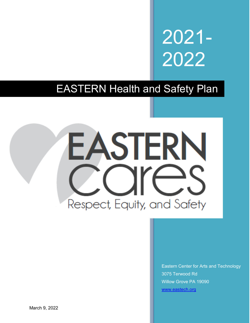2021- 2022

EASTERN Health and Safety Plan



Eastern Center for Arts and Technology 3075 Terwood Rd Willow Grove PA 19090 [www.eastech.org](http://www.eastech.org/)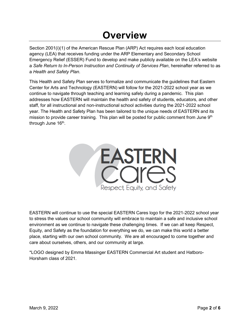# **Overview**

Section 2001(i)(1) of the American Rescue Plan (ARP) Act requires each local education agency (LEA) that receives funding under the ARP Elementary and Secondary School Emergency Relief (ESSER) Fund to develop and make publicly available on the LEA's website a *Safe Return to In-Person Instruction and Continuity of Services Plan*, hereinafter referred to as a *Health and Safety Plan*.

This Health and Safety Plan serves to formalize and communicate the guidelines that Eastern Center for Arts and Technology (EASTERN) will follow for the 2021-2022 school year as we continue to navigate through teaching and learning safely during a pandemic. This plan addresses how EASTERN will maintain the health and safety of students, educators, and other staff, for all instructional and non-instructional school activities during the 2021-2022 school year. The Health and Safety Plan has been tailored to the unique needs of EASTERN and its mission to provide career training. This plan will be posted for public comment from June  $9<sup>th</sup>$ through June 16<sup>th</sup>.



EASTERN will continue to use the special EASTERN Cares logo for the 2021-2022 school year to stress the values our school community will embrace to maintain a safe and inclusive school environment as we continue to navigate these challenging times. If we can all keep Respect, Equity, and Safety as the foundation for everything we do, we can make this world a better place, starting with our own school community. We are all encouraged to come together and care about ourselves, others, and our community at large.

\*LOGO designed by Emma Massinger EASTERN Commercial Art student and Hatboro-Horsham class of 2021.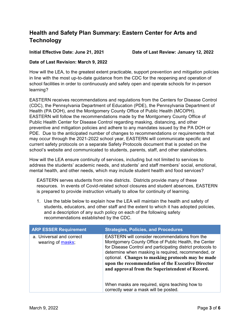## **Health and Safety Plan Summary: Eastern Center for Arts and Technology**

**Initial Effective Date: June 21, 2021 Date of Last Review: January 12, 2022**

### **Date of Last Revision: March 9, 2022**

How will the LEA, to the greatest extent practicable, support prevention and mitigation policies in line with the most up-to-date guidance from the CDC for the reopening and operation of school facilities in order to continuously and safely open and operate schools for in-person learning?

EASTERN receives recommendations and regulations from the Centers for Disease Control (CDC), the Pennsylvania Department of Education (PDE), the Pennsylvania Department of Health (PA DOH), and the Montgomery County Office of Public Health (MCOPH). EASTERN will follow the recommendations made by the Montgomery County Office of Public Health Center for Disease Control regarding masking, distancing, and other preventive and mitigation policies and adhere to any mandates issued by the PA DOH or PDE. Due to the anticipated number of changes to recommendations or requirements that may occur through the 2021-2022 school year, EASTERN will communicate specific and current safety protocols on a separate Safety Protocols document that is posted on the school's website and communicated to students, parents, staff, and other stakeholders.

How will the LEA ensure continuity of services, including but not limited to services to address the students' academic needs, and students' and staff members' social, emotional, mental health, and other needs, which may include student health and food services?

EASTERN serves students from nine districts. Districts provide many of these resources. In events of Covid-related school closures and student absences, EASTERN is prepared to provide instruction virtually to allow for continuity of learning.

1. Use the table below to explain how the LEA will maintain the health and safety of students, educators, and other staff and the extent to which it has adopted policies, and a description of any such policy on each of the following safety recommendations established by the CDC.

| <b>ARP ESSER Requirement</b>                  | <b>Strategies, Policies, and Procedures</b>                                                                                                                                                                                                                                                                                                                                                        |
|-----------------------------------------------|----------------------------------------------------------------------------------------------------------------------------------------------------------------------------------------------------------------------------------------------------------------------------------------------------------------------------------------------------------------------------------------------------|
| a. Universal and correct<br>wearing of masks; | <b>EASTERN</b> will consider recommendations from the<br>Montgomery County Office of Public Health, the Center<br>for Disease Control and participating district protocols to<br>determine when masking is required, recommended, or<br>optional. Changes to masking protocols may be made<br>upon the recommendation of the Executive Director<br>and approval from the Superintendent of Record. |
|                                               | When masks are required, signs teaching how to<br>correctly wear a mask will be posted.                                                                                                                                                                                                                                                                                                            |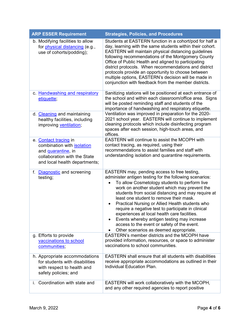| <b>ARP ESSER Requirement</b>                                                                                                                      | <b>Strategies, Policies, and Procedures</b>                                                                                                                                                                                                                                                                                                                                                                                                                                                                                                                                                                                                             |
|---------------------------------------------------------------------------------------------------------------------------------------------------|---------------------------------------------------------------------------------------------------------------------------------------------------------------------------------------------------------------------------------------------------------------------------------------------------------------------------------------------------------------------------------------------------------------------------------------------------------------------------------------------------------------------------------------------------------------------------------------------------------------------------------------------------------|
| b. Modifying facilities to allow<br>for <i>physical distancing</i> (e.g.,<br>use of cohorts/podding);                                             | Students at EASTERN function in a cohort/pod for half a<br>day, learning with the same students within their cohort.<br>EASTERN will maintain physical distancing guidelines<br>following recommendations of the Montgomery County<br>Office of Public Health and aligned to participating<br>district protocols. When recommendations and district<br>protocols provide an opportunity to choose between<br>multiple options, EASTERN's decision will be made in<br>conjunction with feedback from the member districts.                                                                                                                               |
| c. Handwashing and respiratory<br>etiquette;                                                                                                      | Sanitizing stations will be positioned at each entrance of<br>the school and within each classroom/office area. Signs<br>will be posted reminding staff and students of the<br>importance of handwashing and respiratory etiquette.                                                                                                                                                                                                                                                                                                                                                                                                                     |
| d. Cleaning and maintaining<br>healthy facilities, including<br>improving ventilation;                                                            | Ventilation was improved in preparation for the 2020-<br>2021 school year. EASTERN will continue to implement<br>cleaning protocols which include disinfecting program<br>spaces after each session, high-touch areas, and<br>offices.                                                                                                                                                                                                                                                                                                                                                                                                                  |
| e. Contact tracing in<br>combination with <b>isolation</b><br>and quarantine, in<br>collaboration with the State<br>and local health departments; | EASTERN will continue to assist the MCOPH with<br>contact tracing, as required, using their<br>recommendations to assist families and staff with<br>understanding isolation and quarantine requirements.                                                                                                                                                                                                                                                                                                                                                                                                                                                |
| f. Diagnostic and screening<br>testing;                                                                                                           | EASTERN may, pending access to free testing,<br>administer antigen testing for the following scenarios:<br>To allow Cosmetology students to perform live<br>$\bullet$<br>work on another student which may prevent the<br>students from social distancing and may require at<br>least one student to remove their mask.<br>Practical Nursing or Allied Health students who<br>$\bullet$<br>require a negative test to participate in clinical<br>experiences at local health care facilities.<br>Events whereby antigen testing may increase<br>٠<br>access to the event or safety of the event.<br>Other scenarios as deemed appropriate.<br>$\bullet$ |
| g. Efforts to provide<br>vaccinations to school<br>communities;                                                                                   | <b>EASTERN's member districts and the MCOPH have</b><br>provided information, resources, or space to administer<br>vaccinations to school communities.                                                                                                                                                                                                                                                                                                                                                                                                                                                                                                  |
| h. Appropriate accommodations<br>for students with disabilities<br>with respect to health and<br>safety policies; and                             | <b>EASTERN</b> shall ensure that all students with disabilities<br>receive appropriate accommodations as outlined in their<br>Individual Education Plan.                                                                                                                                                                                                                                                                                                                                                                                                                                                                                                |
| i. Coordination with state and                                                                                                                    | EASTERN will work collaboratively with the MCOPH,<br>and any other required agencies to report positive                                                                                                                                                                                                                                                                                                                                                                                                                                                                                                                                                 |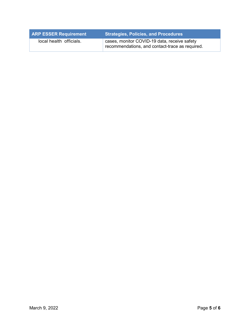| <b>ARP ESSER Requirement</b> | <b>Strategies, Policies, and Procedures</b>                                                     |
|------------------------------|-------------------------------------------------------------------------------------------------|
| local health officials.      | cases, monitor COVID-19 data, receive safety<br>recommendations, and contact-trace as required. |